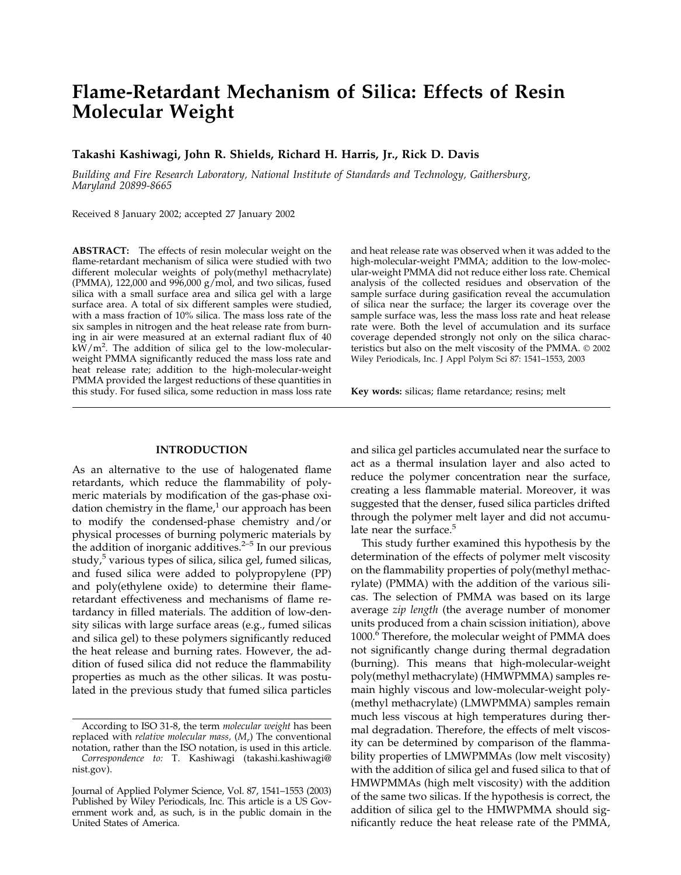# **Flame-Retardant Mechanism of Silica: Effects of Resin Molecular Weight**

#### **Takashi Kashiwagi, John R. Shields, Richard H. Harris, Jr., Rick D. Davis**

*Building and Fire Research Laboratory, National Institute of Standards and Technology, Gaithersburg, Maryland 20899-8665*

Received 8 January 2002; accepted 27 January 2002

**ABSTRACT:** The effects of resin molecular weight on the flame-retardant mechanism of silica were studied with two different molecular weights of poly(methyl methacrylate) (PMMA), 122,000 and 996,000  $g/mol$ , and two silicas, fused silica with a small surface area and silica gel with a large surface area. A total of six different samples were studied, with a mass fraction of 10% silica. The mass loss rate of the six samples in nitrogen and the heat release rate from burning in air were measured at an external radiant flux of 40 k $\rm \widetilde{W}/m^2$ . The addition of silica gel to the low-molecularweight PMMA significantly reduced the mass loss rate and heat release rate; addition to the high-molecular-weight PMMA provided the largest reductions of these quantities in this study. For fused silica, some reduction in mass loss rate

and heat release rate was observed when it was added to the high-molecular-weight PMMA; addition to the low-molecular-weight PMMA did not reduce either loss rate. Chemical analysis of the collected residues and observation of the sample surface during gasification reveal the accumulation of silica near the surface; the larger its coverage over the sample surface was, less the mass loss rate and heat release rate were. Both the level of accumulation and its surface coverage depended strongly not only on the silica characteristics but also on the melt viscosity of the PMMA. © 2002 Wiley Periodicals, Inc. J Appl Polym Sci 87: 1541–1553, 2003

**Key words:** silicas; flame retardance; resins; melt

## **INTRODUCTION**

As an alternative to the use of halogenated flame retardants, which reduce the flammability of polymeric materials by modification of the gas-phase oxidation chemistry in the flame, $1$  our approach has been to modify the condensed-phase chemistry and/or physical processes of burning polymeric materials by the addition of inorganic additives.<sup>2-5</sup> In our previous study, $5$  various types of silica, silica gel, fumed silicas, and fused silica were added to polypropylene (PP) and poly(ethylene oxide) to determine their flameretardant effectiveness and mechanisms of flame retardancy in filled materials. The addition of low-density silicas with large surface areas (e.g., fumed silicas and silica gel) to these polymers significantly reduced the heat release and burning rates. However, the addition of fused silica did not reduce the flammability properties as much as the other silicas. It was postulated in the previous study that fumed silica particles

According to ISO 31-8, the term *molecular weight* has been replaced with *relative molecular mass,* (*Mr*) The conventional notation, rather than the ISO notation, is used in this article. and silica gel particles accumulated near the surface to act as a thermal insulation layer and also acted to reduce the polymer concentration near the surface, creating a less flammable material. Moreover, it was suggested that the denser, fused silica particles drifted through the polymer melt layer and did not accumulate near the surface.<sup>5</sup>

This study further examined this hypothesis by the determination of the effects of polymer melt viscosity on the flammability properties of poly(methyl methacrylate) (PMMA) with the addition of the various silicas. The selection of PMMA was based on its large average *zip length* (the average number of monomer units produced from a chain scission initiation), above 1000.<sup>6</sup> Therefore, the molecular weight of PMMA does not significantly change during thermal degradation (burning). This means that high-molecular-weight poly(methyl methacrylate) (HMWPMMA) samples remain highly viscous and low-molecular-weight poly- (methyl methacrylate) (LMWPMMA) samples remain much less viscous at high temperatures during thermal degradation. Therefore, the effects of melt viscosity can be determined by comparison of the flammability properties of LMWPMMAs (low melt viscosity) with the addition of silica gel and fused silica to that of HMWPMMAs (high melt viscosity) with the addition of the same two silicas. If the hypothesis is correct, the addition of silica gel to the HMWPMMA should significantly reduce the heat release rate of the PMMA,

*Correspondence to:* T. Kashiwagi (takashi.kashiwagi@ nist.gov).

Journal of Applied Polymer Science, Vol. 87, 1541–1553 (2003) Published by Wiley Periodicals, Inc. This article is a US Government work and, as such, is in the public domain in the United States of America.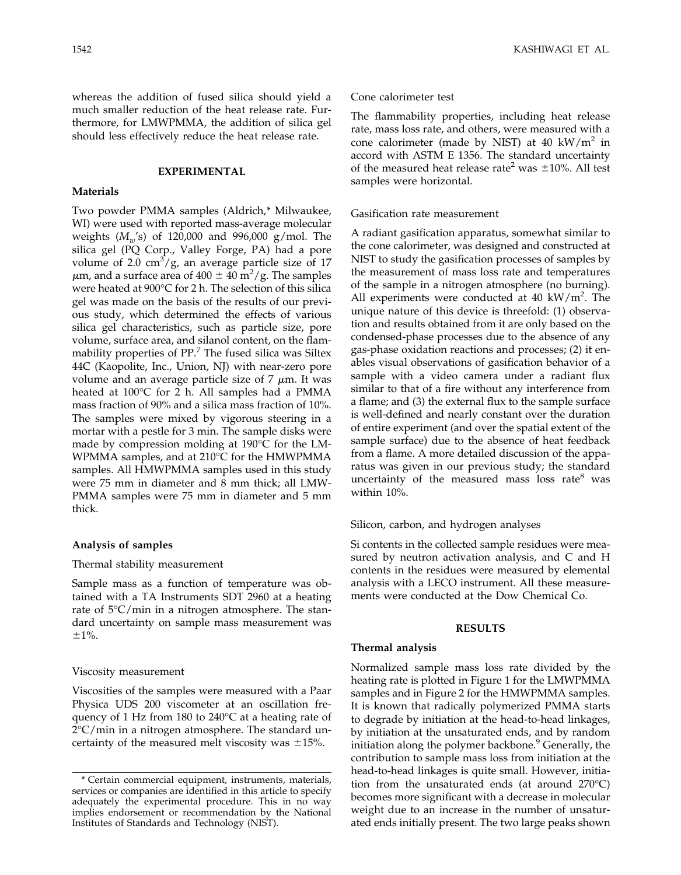whereas the addition of fused silica should yield a much smaller reduction of the heat release rate. Furthermore, for LMWPMMA, the addition of silica gel should less effectively reduce the heat release rate.

### **EXPERIMENTAL**

#### **Materials**

Two powder PMMA samples (Aldrich,\* Milwaukee, WI) were used with reported mass-average molecular weights (*Mw*'s) of 120,000 and 996,000 g/mol. The silica gel (PQ Corp., Valley Forge, PA) had a pore volume of 2.0  $\text{cm}^3/\text{g}$ , an average particle size of 17  $\mu$ m, and a surface area of 400  $\pm$  40 m<sup>2</sup>/g. The samples were heated at 900°C for 2 h. The selection of this silica gel was made on the basis of the results of our previous study, which determined the effects of various silica gel characteristics, such as particle size, pore volume, surface area, and silanol content, on the flammability properties of  $PP$ .<sup>7</sup> The fused silica was Siltex 44C (Kaopolite, Inc., Union, NJ) with near-zero pore volume and an average particle size of  $7 \mu m$ . It was heated at 100°C for 2 h. All samples had a PMMA mass fraction of 90% and a silica mass fraction of 10%. The samples were mixed by vigorous steering in a mortar with a pestle for 3 min. The sample disks were made by compression molding at 190°C for the LM-WPMMA samples, and at 210°C for the HMWPMMA samples. All HMWPMMA samples used in this study were 75 mm in diameter and 8 mm thick; all LMW-PMMA samples were 75 mm in diameter and 5 mm thick.

#### **Analysis of samples**

#### Thermal stability measurement

Sample mass as a function of temperature was obtained with a TA Instruments SDT 2960 at a heating rate of 5°C/min in a nitrogen atmosphere. The standard uncertainty on sample mass measurement was  $\pm 1\%$ .

## Viscosity measurement

Viscosities of the samples were measured with a Paar Physica UDS 200 viscometer at an oscillation frequency of 1 Hz from 180 to 240°C at a heating rate of 2°C/min in a nitrogen atmosphere. The standard uncertainty of the measured melt viscosity was  $\pm 15$ %.

## Cone calorimeter test

The flammability properties, including heat release rate, mass loss rate, and others, were measured with a cone calorimeter (made by NIST) at 40  $\text{kW/m}^2$  in accord with ASTM E 1356. The standard uncertainty of the measured heat release rate<sup>2</sup> was  $\pm 10$ %. All test samples were horizontal.

#### Gasification rate measurement

A radiant gasification apparatus, somewhat similar to the cone calorimeter, was designed and constructed at NIST to study the gasification processes of samples by the measurement of mass loss rate and temperatures of the sample in a nitrogen atmosphere (no burning). All experiments were conducted at 40 kW/m<sup>2</sup>. The unique nature of this device is threefold: (1) observation and results obtained from it are only based on the condensed-phase processes due to the absence of any gas-phase oxidation reactions and processes; (2) it enables visual observations of gasification behavior of a sample with a video camera under a radiant flux similar to that of a fire without any interference from a flame; and (3) the external flux to the sample surface is well-defined and nearly constant over the duration of entire experiment (and over the spatial extent of the sample surface) due to the absence of heat feedback from a flame. A more detailed discussion of the apparatus was given in our previous study; the standard uncertainty of the measured mass loss rate $8$  was within 10%.

#### Silicon, carbon, and hydrogen analyses

Si contents in the collected sample residues were measured by neutron activation analysis, and C and H contents in the residues were measured by elemental analysis with a LECO instrument. All these measurements were conducted at the Dow Chemical Co.

# **RESULTS**

# **Thermal analysis**

Normalized sample mass loss rate divided by the heating rate is plotted in Figure 1 for the LMWPMMA samples and in Figure 2 for the HMWPMMA samples. It is known that radically polymerized PMMA starts to degrade by initiation at the head-to-head linkages, by initiation at the unsaturated ends, and by random initiation along the polymer backbone.<sup>9</sup> Generally, the contribution to sample mass loss from initiation at the head-to-head linkages is quite small. However, initiation from the unsaturated ends (at around 270°C) becomes more significant with a decrease in molecular weight due to an increase in the number of unsaturated ends initially present. The two large peaks shown

<sup>\*</sup> Certain commercial equipment, instruments, materials, services or companies are identified in this article to specify adequately the experimental procedure. This in no way implies endorsement or recommendation by the National Institutes of Standards and Technology (NIST).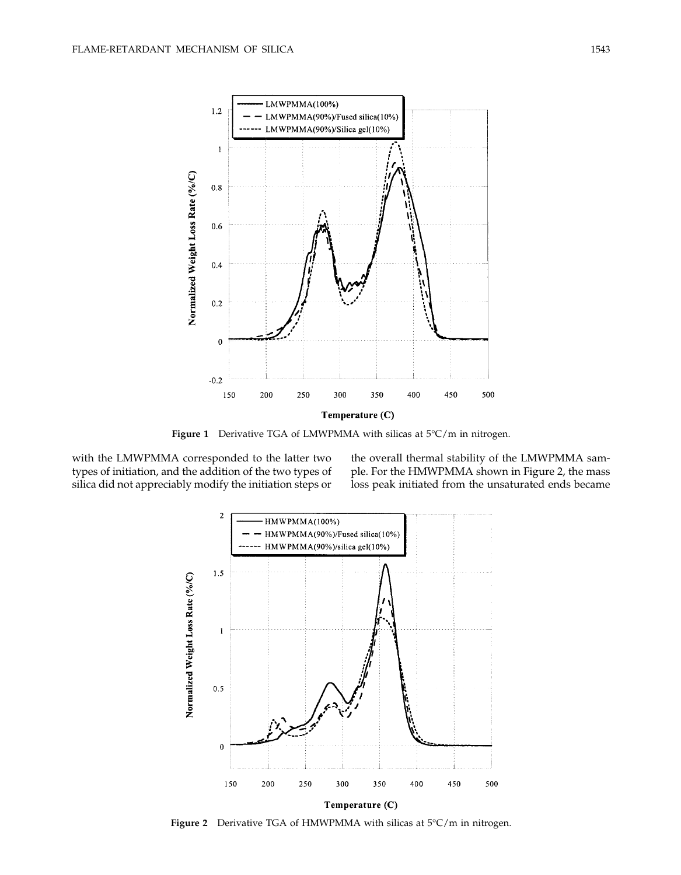

**Figure 1** Derivative TGA of LMWPMMA with silicas at 5°C/m in nitrogen.

with the LMWPMMA corresponded to the latter two types of initiation, and the addition of the two types of silica did not appreciably modify the initiation steps or

the overall thermal stability of the LMWPMMA sample. For the HMWPMMA shown in Figure 2, the mass loss peak initiated from the unsaturated ends became



**Figure 2** Derivative TGA of HMWPMMA with silicas at 5°C/m in nitrogen.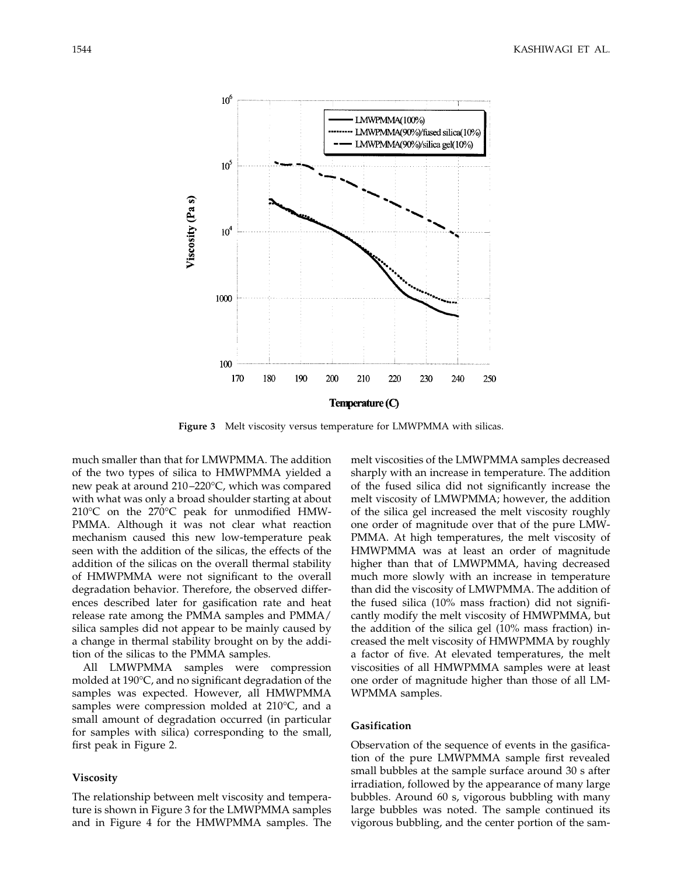

**Figure 3** Melt viscosity versus temperature for LMWPMMA with silicas.

much smaller than that for LMWPMMA. The addition of the two types of silica to HMWPMMA yielded a new peak at around 210 –220°C, which was compared with what was only a broad shoulder starting at about 210°C on the 270°C peak for unmodified HMW-PMMA. Although it was not clear what reaction mechanism caused this new low-temperature peak seen with the addition of the silicas, the effects of the addition of the silicas on the overall thermal stability of HMWPMMA were not significant to the overall degradation behavior. Therefore, the observed differences described later for gasification rate and heat release rate among the PMMA samples and PMMA/ silica samples did not appear to be mainly caused by a change in thermal stability brought on by the addition of the silicas to the PMMA samples.

All LMWPMMA samples were compression molded at 190°C, and no significant degradation of the samples was expected. However, all HMWPMMA samples were compression molded at 210°C, and a small amount of degradation occurred (in particular for samples with silica) corresponding to the small, first peak in Figure 2.

#### **Viscosity**

The relationship between melt viscosity and temperature is shown in Figure 3 for the LMWPMMA samples and in Figure 4 for the HMWPMMA samples. The melt viscosities of the LMWPMMA samples decreased sharply with an increase in temperature. The addition of the fused silica did not significantly increase the melt viscosity of LMWPMMA; however, the addition of the silica gel increased the melt viscosity roughly one order of magnitude over that of the pure LMW-PMMA. At high temperatures, the melt viscosity of HMWPMMA was at least an order of magnitude higher than that of LMWPMMA, having decreased much more slowly with an increase in temperature than did the viscosity of LMWPMMA. The addition of the fused silica (10% mass fraction) did not significantly modify the melt viscosity of HMWPMMA, but the addition of the silica gel (10% mass fraction) increased the melt viscosity of HMWPMMA by roughly a factor of five. At elevated temperatures, the melt viscosities of all HMWPMMA samples were at least one order of magnitude higher than those of all LM-WPMMA samples.

#### **Gasification**

Observation of the sequence of events in the gasification of the pure LMWPMMA sample first revealed small bubbles at the sample surface around 30 s after irradiation, followed by the appearance of many large bubbles. Around 60 s, vigorous bubbling with many large bubbles was noted. The sample continued its vigorous bubbling, and the center portion of the sam-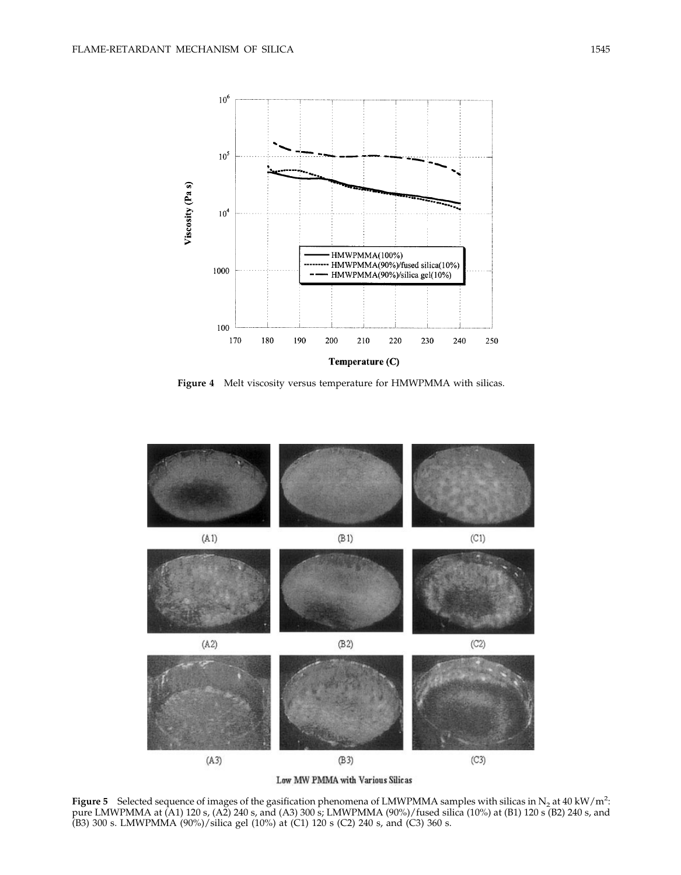

**Figure 4** Melt viscosity versus temperature for HMWPMMA with silicas.



Low MW PMMA with Various Silicas

**Figure 5** Selected sequence of images of the gasification phenomena of LMWPMMA samples with silicas in N<sub>2</sub> at 40 kW/m<sup>2</sup>: pure LMWPMMA at (A1) 120 s, (A2) 240 s, and (A3) 300 s; LMWPMMA (90%)/fused silica (10%) at (B1) 120 s (B2) 240 s, and (B3) 300 s. LMWPMMA (90%)/silica gel (10%) at (C1) 120 s (C2) 240 s, and (C3) 360 s.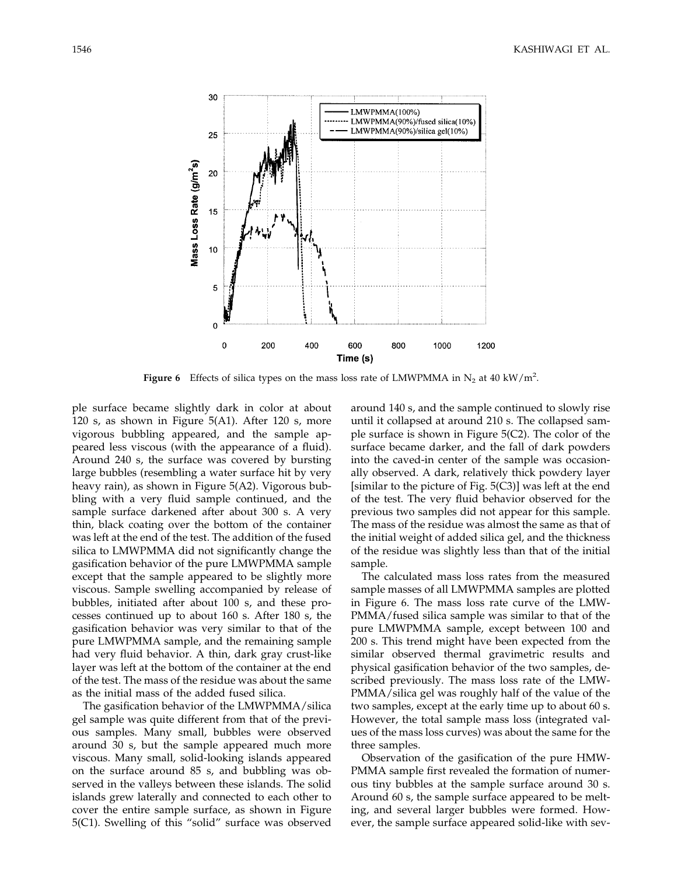

**Figure 6** Effects of silica types on the mass loss rate of LMWPMMA in  $N_2$  at 40 kW/m<sup>2</sup>.

ple surface became slightly dark in color at about 120 s, as shown in Figure 5(A1). After 120 s, more vigorous bubbling appeared, and the sample appeared less viscous (with the appearance of a fluid). Around 240 s, the surface was covered by bursting large bubbles (resembling a water surface hit by very heavy rain), as shown in Figure 5(A2). Vigorous bubbling with a very fluid sample continued, and the sample surface darkened after about 300 s. A very thin, black coating over the bottom of the container was left at the end of the test. The addition of the fused silica to LMWPMMA did not significantly change the gasification behavior of the pure LMWPMMA sample except that the sample appeared to be slightly more viscous. Sample swelling accompanied by release of bubbles, initiated after about 100 s, and these processes continued up to about 160 s. After 180 s, the gasification behavior was very similar to that of the pure LMWPMMA sample, and the remaining sample had very fluid behavior. A thin, dark gray crust-like layer was left at the bottom of the container at the end of the test. The mass of the residue was about the same as the initial mass of the added fused silica.

The gasification behavior of the LMWPMMA/silica gel sample was quite different from that of the previous samples. Many small, bubbles were observed around 30 s, but the sample appeared much more viscous. Many small, solid-looking islands appeared on the surface around 85 s, and bubbling was observed in the valleys between these islands. The solid islands grew laterally and connected to each other to cover the entire sample surface, as shown in Figure 5(C1). Swelling of this "solid" surface was observed

around 140 s, and the sample continued to slowly rise until it collapsed at around 210 s. The collapsed sample surface is shown in Figure 5(C2). The color of the surface became darker, and the fall of dark powders into the caved-in center of the sample was occasionally observed. A dark, relatively thick powdery layer [similar to the picture of Fig. 5(C3)] was left at the end of the test. The very fluid behavior observed for the previous two samples did not appear for this sample. The mass of the residue was almost the same as that of the initial weight of added silica gel, and the thickness of the residue was slightly less than that of the initial sample.

The calculated mass loss rates from the measured sample masses of all LMWPMMA samples are plotted in Figure 6. The mass loss rate curve of the LMW-PMMA/fused silica sample was similar to that of the pure LMWPMMA sample, except between 100 and 200 s. This trend might have been expected from the similar observed thermal gravimetric results and physical gasification behavior of the two samples, described previously. The mass loss rate of the LMW-PMMA/silica gel was roughly half of the value of the two samples, except at the early time up to about 60 s. However, the total sample mass loss (integrated values of the mass loss curves) was about the same for the three samples.

Observation of the gasification of the pure HMW-PMMA sample first revealed the formation of numerous tiny bubbles at the sample surface around 30 s. Around 60 s, the sample surface appeared to be melting, and several larger bubbles were formed. However, the sample surface appeared solid-like with sev-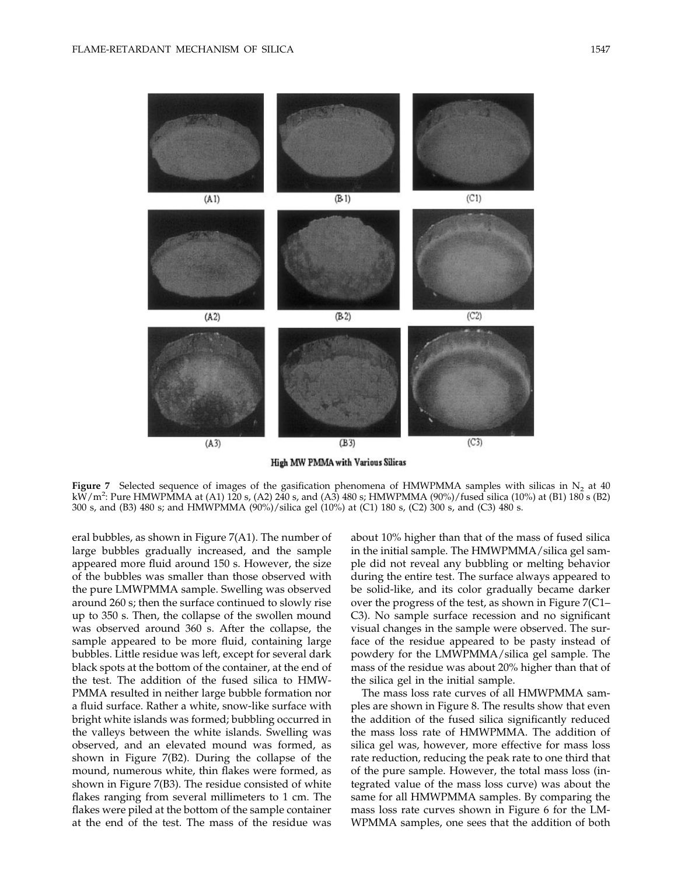

**Figure 7** Selected sequence of images of the gasification phenomena of HMWPMMA samples with silicas in  $N_2$  at 40 kW/m2 : Pure HMWPMMA at (A1) 120 s, (A2) 240 s, and (A3) 480 s; HMWPMMA (90%)/fused silica (10%) at (B1) 180 s (B2) 300 s, and (B3) 480 s; and HMWPMMA (90%)/silica gel (10%) at (C1) 180 s, (C2) 300 s, and (C3) 480 s.

eral bubbles, as shown in Figure 7(A1). The number of large bubbles gradually increased, and the sample appeared more fluid around 150 s. However, the size of the bubbles was smaller than those observed with the pure LMWPMMA sample. Swelling was observed around 260 s; then the surface continued to slowly rise up to 350 s. Then, the collapse of the swollen mound was observed around 360 s. After the collapse, the sample appeared to be more fluid, containing large bubbles. Little residue was left, except for several dark black spots at the bottom of the container, at the end of the test. The addition of the fused silica to HMW-PMMA resulted in neither large bubble formation nor a fluid surface. Rather a white, snow-like surface with bright white islands was formed; bubbling occurred in the valleys between the white islands. Swelling was observed, and an elevated mound was formed, as shown in Figure 7(B2). During the collapse of the mound, numerous white, thin flakes were formed, as shown in Figure 7(B3). The residue consisted of white flakes ranging from several millimeters to 1 cm. The flakes were piled at the bottom of the sample container at the end of the test. The mass of the residue was

about 10% higher than that of the mass of fused silica in the initial sample. The HMWPMMA/silica gel sample did not reveal any bubbling or melting behavior during the entire test. The surface always appeared to be solid-like, and its color gradually became darker over the progress of the test, as shown in Figure 7(C1– C3). No sample surface recession and no significant visual changes in the sample were observed. The surface of the residue appeared to be pasty instead of powdery for the LMWPMMA/silica gel sample. The mass of the residue was about 20% higher than that of the silica gel in the initial sample.

The mass loss rate curves of all HMWPMMA samples are shown in Figure 8. The results show that even the addition of the fused silica significantly reduced the mass loss rate of HMWPMMA. The addition of silica gel was, however, more effective for mass loss rate reduction, reducing the peak rate to one third that of the pure sample. However, the total mass loss (integrated value of the mass loss curve) was about the same for all HMWPMMA samples. By comparing the mass loss rate curves shown in Figure 6 for the LM-WPMMA samples, one sees that the addition of both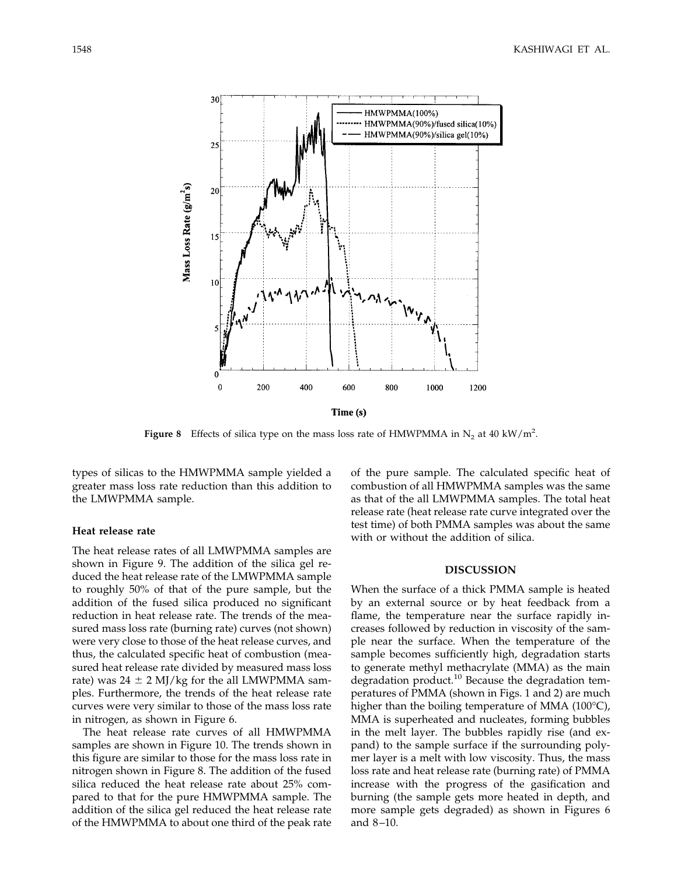

**Figure 8** Effects of silica type on the mass loss rate of HMWPMMA in  $N_2$  at 40 kW/m<sup>2</sup>.

types of silicas to the HMWPMMA sample yielded a greater mass loss rate reduction than this addition to the LMWPMMA sample.

#### **Heat release rate**

The heat release rates of all LMWPMMA samples are shown in Figure 9. The addition of the silica gel reduced the heat release rate of the LMWPMMA sample to roughly 50% of that of the pure sample, but the addition of the fused silica produced no significant reduction in heat release rate. The trends of the measured mass loss rate (burning rate) curves (not shown) were very close to those of the heat release curves, and thus, the calculated specific heat of combustion (measured heat release rate divided by measured mass loss rate) was  $24 \pm 2$  MJ/kg for the all LMWPMMA samples. Furthermore, the trends of the heat release rate curves were very similar to those of the mass loss rate in nitrogen, as shown in Figure 6.

The heat release rate curves of all HMWPMMA samples are shown in Figure 10. The trends shown in this figure are similar to those for the mass loss rate in nitrogen shown in Figure 8. The addition of the fused silica reduced the heat release rate about 25% compared to that for the pure HMWPMMA sample. The addition of the silica gel reduced the heat release rate of the HMWPMMA to about one third of the peak rate

of the pure sample. The calculated specific heat of combustion of all HMWPMMA samples was the same as that of the all LMWPMMA samples. The total heat release rate (heat release rate curve integrated over the test time) of both PMMA samples was about the same with or without the addition of silica.

#### **DISCUSSION**

When the surface of a thick PMMA sample is heated by an external source or by heat feedback from a flame, the temperature near the surface rapidly increases followed by reduction in viscosity of the sample near the surface. When the temperature of the sample becomes sufficiently high, degradation starts to generate methyl methacrylate (MMA) as the main degradation product.<sup>10</sup> Because the degradation temperatures of PMMA (shown in Figs. 1 and 2) are much higher than the boiling temperature of MMA (100°C), MMA is superheated and nucleates, forming bubbles in the melt layer. The bubbles rapidly rise (and expand) to the sample surface if the surrounding polymer layer is a melt with low viscosity. Thus, the mass loss rate and heat release rate (burning rate) of PMMA increase with the progress of the gasification and burning (the sample gets more heated in depth, and more sample gets degraded) as shown in Figures 6 and 8 –10.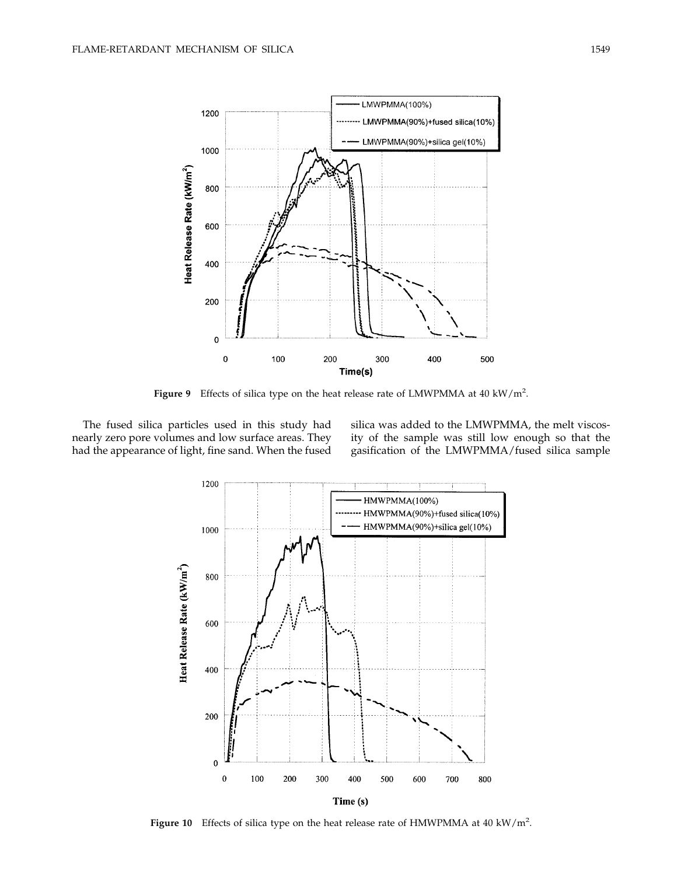

Figure 9 Effects of silica type on the heat release rate of LMWPMMA at 40 kW/m<sup>2</sup>.

The fused silica particles used in this study had nearly zero pore volumes and low surface areas. They had the appearance of light, fine sand. When the fused silica was added to the LMWPMMA, the melt viscosity of the sample was still low enough so that the gasification of the LMWPMMA/fused silica sample



Figure 10 Effects of silica type on the heat release rate of HMWPMMA at 40 kW/m<sup>2</sup>.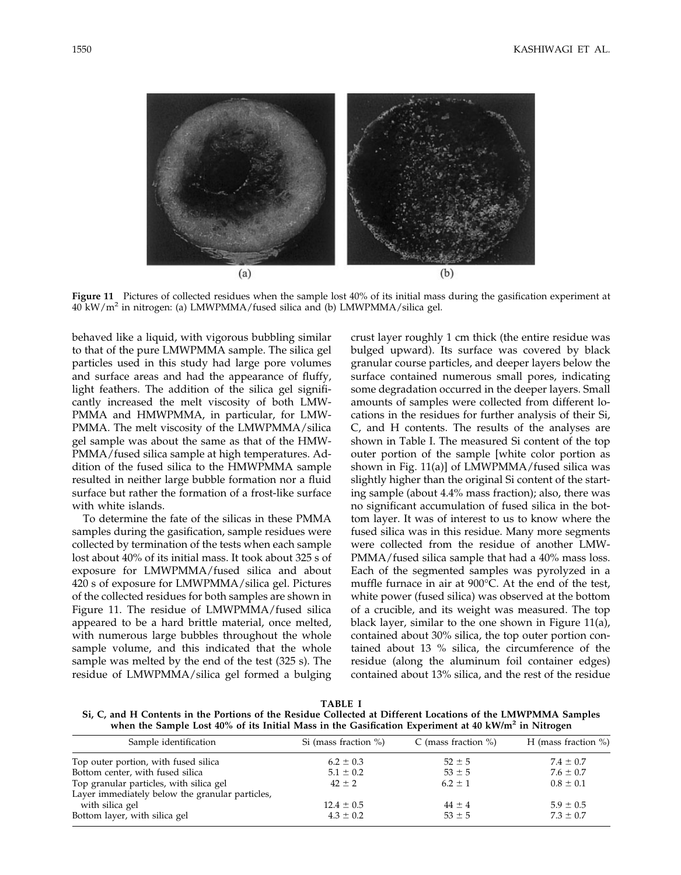

**Figure 11** Pictures of collected residues when the sample lost 40% of its initial mass during the gasification experiment at 40 kW/m2 in nitrogen: (a) LMWPMMA/fused silica and (b) LMWPMMA/silica gel.

behaved like a liquid, with vigorous bubbling similar to that of the pure LMWPMMA sample. The silica gel particles used in this study had large pore volumes and surface areas and had the appearance of fluffy, light feathers. The addition of the silica gel significantly increased the melt viscosity of both LMW-PMMA and HMWPMMA, in particular, for LMW-PMMA. The melt viscosity of the LMWPMMA/silica gel sample was about the same as that of the HMW-PMMA/fused silica sample at high temperatures. Addition of the fused silica to the HMWPMMA sample resulted in neither large bubble formation nor a fluid surface but rather the formation of a frost-like surface with white islands.

To determine the fate of the silicas in these PMMA samples during the gasification, sample residues were collected by termination of the tests when each sample lost about 40% of its initial mass. It took about 325 s of exposure for LMWPMMA/fused silica and about 420 s of exposure for LMWPMMA/silica gel. Pictures of the collected residues for both samples are shown in Figure 11. The residue of LMWPMMA/fused silica appeared to be a hard brittle material, once melted, with numerous large bubbles throughout the whole sample volume, and this indicated that the whole sample was melted by the end of the test (325 s). The residue of LMWPMMA/silica gel formed a bulging

crust layer roughly 1 cm thick (the entire residue was bulged upward). Its surface was covered by black granular course particles, and deeper layers below the surface contained numerous small pores, indicating some degradation occurred in the deeper layers. Small amounts of samples were collected from different locations in the residues for further analysis of their Si, C, and H contents. The results of the analyses are shown in Table I. The measured Si content of the top outer portion of the sample [white color portion as shown in Fig. 11(a)] of LMWPMMA/fused silica was slightly higher than the original Si content of the starting sample (about 4.4% mass fraction); also, there was no significant accumulation of fused silica in the bottom layer. It was of interest to us to know where the fused silica was in this residue. Many more segments were collected from the residue of another LMW-PMMA/fused silica sample that had a 40% mass loss. Each of the segmented samples was pyrolyzed in a muffle furnace in air at 900°C. At the end of the test, white power (fused silica) was observed at the bottom of a crucible, and its weight was measured. The top black layer, similar to the one shown in Figure 11(a), contained about 30% silica, the top outer portion contained about 13 % silica, the circumference of the residue (along the aluminum foil container edges) contained about 13% silica, and the rest of the residue

**TABLE I**

**Si, C, and H Contents in the Portions of the Residue Collected at Different Locations of the LMWPMMA Samples when the Sample Lost 40% of its Initial Mass in the Gasification Experiment at 40 kW/m2 in Nitrogen**

| Sample identification                                                    | Si (mass fraction $\%$ ) | C (mass fraction $\%$ ) | H (mass fraction $\%$ ) |
|--------------------------------------------------------------------------|--------------------------|-------------------------|-------------------------|
|                                                                          | $6.2 \pm 0.3$            | $52 \pm 5$              | $7.4 \pm 0.7$           |
| Top outer portion, with fused silica<br>Bottom center, with fused silica | $5.1 \pm 0.2$            | $53 \pm 5$              | $7.6 \pm 0.7$           |
| Top granular particles, with silica gel                                  | $42 \pm 2$               | $6.2 \pm 1$             | $0.8 \pm 0.1$           |
| Layer immediately below the granular particles,                          |                          |                         |                         |
| with silica gel                                                          | $12.4 \pm 0.5$           | $44 \pm 4$              | $5.9 \pm 0.5$           |
| Bottom layer, with silica gel                                            | $4.3 \pm 0.2$            | $53 \pm 5$              | $7.3 \pm 0.7$           |
|                                                                          |                          |                         |                         |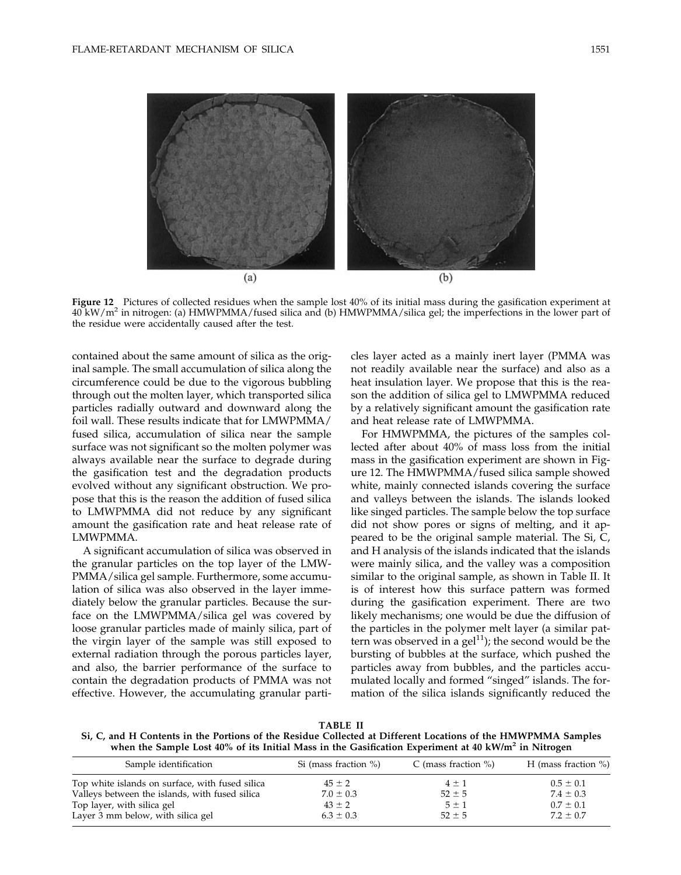

**Figure 12** Pictures of collected residues when the sample lost 40% of its initial mass during the gasification experiment at 40 kW/m2 in nitrogen: (a) HMWPMMA/fused silica and (b) HMWPMMA/silica gel; the imperfections in the lower part of the residue were accidentally caused after the test.

contained about the same amount of silica as the original sample. The small accumulation of silica along the circumference could be due to the vigorous bubbling through out the molten layer, which transported silica particles radially outward and downward along the foil wall. These results indicate that for LMWPMMA/ fused silica, accumulation of silica near the sample surface was not significant so the molten polymer was always available near the surface to degrade during the gasification test and the degradation products evolved without any significant obstruction. We propose that this is the reason the addition of fused silica to LMWPMMA did not reduce by any significant amount the gasification rate and heat release rate of LMWPMMA.

A significant accumulation of silica was observed in the granular particles on the top layer of the LMW-PMMA/silica gel sample. Furthermore, some accumulation of silica was also observed in the layer immediately below the granular particles. Because the surface on the LMWPMMA/silica gel was covered by loose granular particles made of mainly silica, part of the virgin layer of the sample was still exposed to external radiation through the porous particles layer, and also, the barrier performance of the surface to contain the degradation products of PMMA was not effective. However, the accumulating granular particles layer acted as a mainly inert layer (PMMA was not readily available near the surface) and also as a heat insulation layer. We propose that this is the reason the addition of silica gel to LMWPMMA reduced by a relatively significant amount the gasification rate and heat release rate of LMWPMMA.

For HMWPMMA, the pictures of the samples collected after about 40% of mass loss from the initial mass in the gasification experiment are shown in Figure 12. The HMWPMMA/fused silica sample showed white, mainly connected islands covering the surface and valleys between the islands. The islands looked like singed particles. The sample below the top surface did not show pores or signs of melting, and it appeared to be the original sample material. The Si, C, and H analysis of the islands indicated that the islands were mainly silica, and the valley was a composition similar to the original sample, as shown in Table II. It is of interest how this surface pattern was formed during the gasification experiment. There are two likely mechanisms; one would be due the diffusion of the particles in the polymer melt layer (a similar pattern was observed in a gel<sup>11</sup>); the second would be the bursting of bubbles at the surface, which pushed the particles away from bubbles, and the particles accumulated locally and formed "singed" islands. The formation of the silica islands significantly reduced the

**TABLE II**

**Si, C, and H Contents in the Portions of the Residue Collected at Different Locations of the HMWPMMA Samples when the Sample Lost 40% of its Initial Mass in the Gasification Experiment at 40 kW/m2 in Nitrogen**

| Sample identification                           | Si (mass fraction $\%$ ) | C (mass fraction $\%$ ) | H (mass fraction $\%$ ) |
|-------------------------------------------------|--------------------------|-------------------------|-------------------------|
| Top white islands on surface, with fused silica | $45 \pm 2$               | $4 \pm 1$               | $0.5 \pm 0.1$           |
| Valleys between the islands, with fused silica  | $7.0 \pm 0.3$            | $52 \pm 5$              | $7.4 \pm 0.3$           |
| Top layer, with silica gel                      | $43 \pm 2$               | $5 \pm 1$               | $0.7 \pm 0.1$           |
| Layer 3 mm below, with silica gel               | $6.3 \pm 0.3$            | $52 \pm 5$              | $7.2 \pm 0.7$           |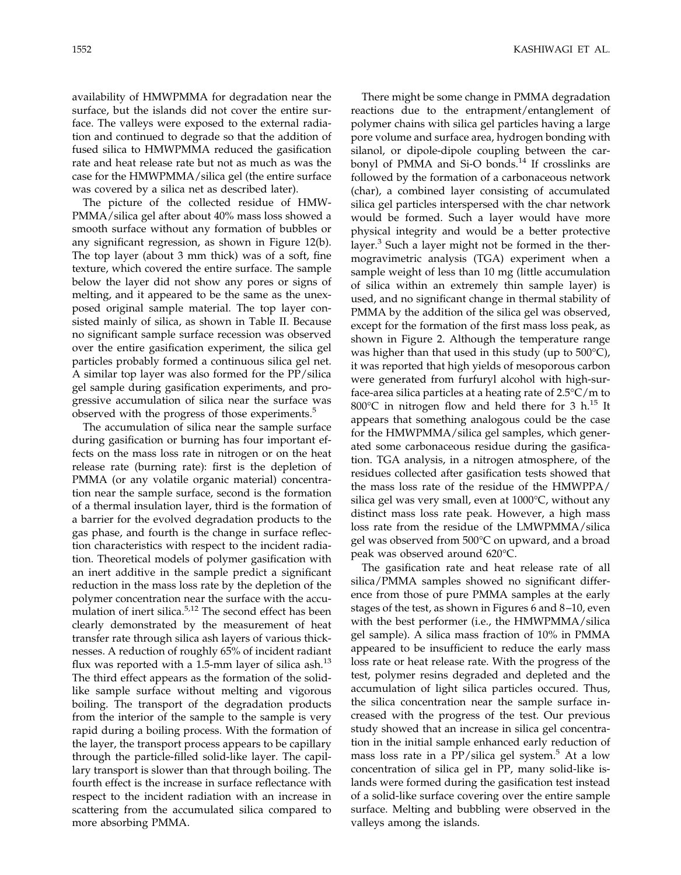availability of HMWPMMA for degradation near the surface, but the islands did not cover the entire surface. The valleys were exposed to the external radiation and continued to degrade so that the addition of fused silica to HMWPMMA reduced the gasification rate and heat release rate but not as much as was the case for the HMWPMMA/silica gel (the entire surface was covered by a silica net as described later).

The picture of the collected residue of HMW-PMMA/silica gel after about 40% mass loss showed a smooth surface without any formation of bubbles or any significant regression, as shown in Figure 12(b). The top layer (about 3 mm thick) was of a soft, fine texture, which covered the entire surface. The sample below the layer did not show any pores or signs of melting, and it appeared to be the same as the unexposed original sample material. The top layer consisted mainly of silica, as shown in Table II. Because no significant sample surface recession was observed over the entire gasification experiment, the silica gel particles probably formed a continuous silica gel net. A similar top layer was also formed for the PP/silica gel sample during gasification experiments, and progressive accumulation of silica near the surface was observed with the progress of those experiments.<sup>5</sup>

The accumulation of silica near the sample surface during gasification or burning has four important effects on the mass loss rate in nitrogen or on the heat release rate (burning rate): first is the depletion of PMMA (or any volatile organic material) concentration near the sample surface, second is the formation of a thermal insulation layer, third is the formation of a barrier for the evolved degradation products to the gas phase, and fourth is the change in surface reflection characteristics with respect to the incident radiation. Theoretical models of polymer gasification with an inert additive in the sample predict a significant reduction in the mass loss rate by the depletion of the polymer concentration near the surface with the accumulation of inert silica.<sup>5,12</sup> The second effect has been clearly demonstrated by the measurement of heat transfer rate through silica ash layers of various thicknesses. A reduction of roughly 65% of incident radiant flux was reported with a 1.5-mm layer of silica ash. $^{13}$ The third effect appears as the formation of the solidlike sample surface without melting and vigorous boiling. The transport of the degradation products from the interior of the sample to the sample is very rapid during a boiling process. With the formation of the layer, the transport process appears to be capillary through the particle-filled solid-like layer. The capillary transport is slower than that through boiling. The fourth effect is the increase in surface reflectance with respect to the incident radiation with an increase in scattering from the accumulated silica compared to more absorbing PMMA.

There might be some change in PMMA degradation reactions due to the entrapment/entanglement of polymer chains with silica gel particles having a large pore volume and surface area, hydrogen bonding with silanol, or dipole-dipole coupling between the carbonyl of PMMA and Si-O bonds.<sup>14</sup> If crosslinks are followed by the formation of a carbonaceous network (char), a combined layer consisting of accumulated silica gel particles interspersed with the char network would be formed. Such a layer would have more physical integrity and would be a better protective layer. $3$  Such a layer might not be formed in the thermogravimetric analysis (TGA) experiment when a sample weight of less than 10 mg (little accumulation of silica within an extremely thin sample layer) is used, and no significant change in thermal stability of PMMA by the addition of the silica gel was observed, except for the formation of the first mass loss peak, as shown in Figure 2. Although the temperature range was higher than that used in this study (up to 500°C), it was reported that high yields of mesoporous carbon were generated from furfuryl alcohol with high-surface-area silica particles at a heating rate of  $2.5^{\circ}C/m$  to 800 $^{\circ}$ C in nitrogen flow and held there for 3 h.<sup>15</sup> It appears that something analogous could be the case for the HMWPMMA/silica gel samples, which generated some carbonaceous residue during the gasification. TGA analysis, in a nitrogen atmosphere, of the residues collected after gasification tests showed that the mass loss rate of the residue of the HMWPPA/ silica gel was very small, even at 1000°C, without any distinct mass loss rate peak. However, a high mass loss rate from the residue of the LMWPMMA/silica gel was observed from 500°C on upward, and a broad peak was observed around 620°C.

The gasification rate and heat release rate of all silica/PMMA samples showed no significant difference from those of pure PMMA samples at the early stages of the test, as shown in Figures 6 and 8 –10, even with the best performer (i.e., the HMWPMMA/silica gel sample). A silica mass fraction of 10% in PMMA appeared to be insufficient to reduce the early mass loss rate or heat release rate. With the progress of the test, polymer resins degraded and depleted and the accumulation of light silica particles occured. Thus, the silica concentration near the sample surface increased with the progress of the test. Our previous study showed that an increase in silica gel concentration in the initial sample enhanced early reduction of mass loss rate in a PP/silica gel system.<sup>5</sup> At a low concentration of silica gel in PP, many solid-like islands were formed during the gasification test instead of a solid-like surface covering over the entire sample surface. Melting and bubbling were observed in the valleys among the islands.